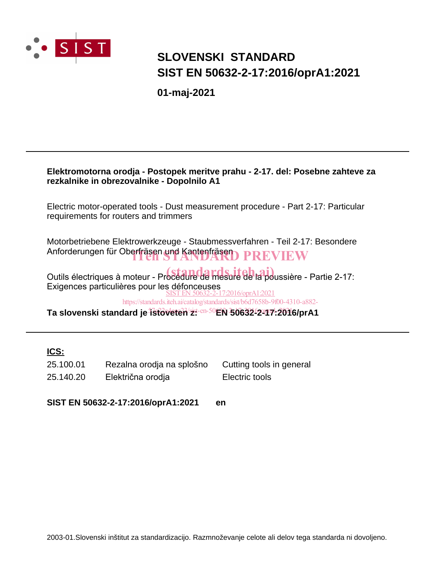

# **SLOVENSKI STANDARD SIST EN 50632-2-17:2016/oprA1:2021**

**01-maj-2021**

### **Elektromotorna orodja - Postopek meritve prahu - 2-17. del: Posebne zahteve za rezkalnike in obrezovalnike - Dopolnilo A1**

Electric motor-operated tools - Dust measurement procedure - Part 2-17: Particular requirements for routers and trimmers

Motorbetriebene Elektrowerkzeuge - Staubmessverfahren - Teil 2-17: Besondere Anforderungen für Oberfräsen und Kantenfräsen<br>DARD PREVIEW

Outils électriques à moteur - Procédure de mesure de la poussière - Partie 2-17: Exigences particulières pour les défonceuses SIST EN 50632-2-17:2016/oprA1:2021

https://standards.iteh.ai/catalog/standards/sist/b6d7658b-9f00-4310-a882-

Ta slovenski standard je <del>istoveten z: en 50EN 50632-2-17.201</del>6/prA1

### **ICS:**

| 25.100.01 | Rezalna orodja na splošno | Cutting tools in general |
|-----------|---------------------------|--------------------------|
| 25.140.20 | Električna orodja         | Electric tools           |

**SIST EN 50632-2-17:2016/oprA1:2021 en**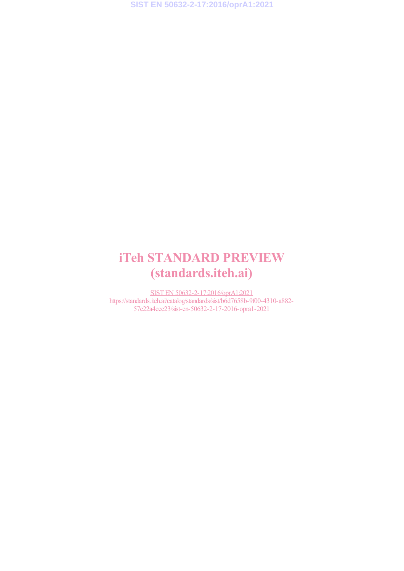**SIST EN 50632-2-17:2016/oprA1:2021**

# iTeh STANDARD PREVIEW (standards.iteh.ai)

SIST EN 50632-2-17:2016/oprA1:2021 https://standards.iteh.ai/catalog/standards/sist/b6d7658b-9f00-4310-a882-57e22a4eec23/sist-en-50632-2-17-2016-opra1-2021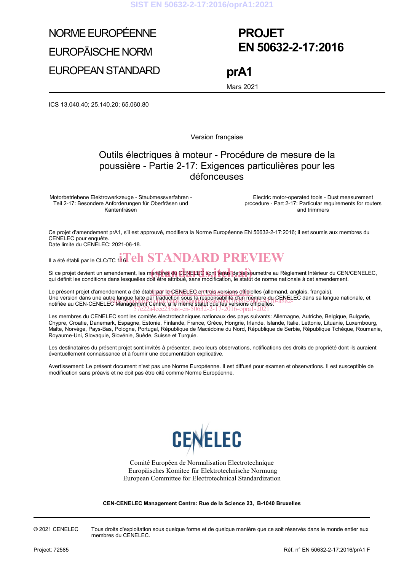**SIST EN 50632-2-17:2016/oprA1:2021**

# NORME EUROPÉENNE EUROPÄISCHE NORM

EUROPEAN STANDARD

# **PROJET EN 50632-2-17:2016**

**prA1** 

Mars 2021

ICS 13.040.40; 25.140.20; 65.060.80

Version française

### Outils électriques à moteur - Procédure de mesure de la poussière - Partie 2-17: Exigences particulières pour les défonceuses

Motorbetriebene Elektrowerkzeuge - Staubmessverfahren - Teil 2-17: Besondere Anforderungen für Oberfräsen und Kantenfräsen

 Electric motor-operated tools - Dust measurement procedure - Part 2-17: Particular requirements for routers and trimmers

Ce projet d'amendement prA1, s'il est approuvé, modifiera la Norme Européenne EN 50632-2-17:2016; il est soumis aux membres du CENELEC pour enquête. Date limite du CENELEC: 2021-06-18.

Il a été établi par le CLC/TC  $\overline{\textbf{16}}$  eh  $\textbf{STANDARD PREVIEW}$ 

Si ce projet devient un amendement, les membres du CENELEC sont tenus de se soumettre au Règlement Intérieur du CEN/CENELEC,<br>qui définit les conditions dans lesquelles doit être attribué, sans modification, le statut de no qui définit les conditions dans lesquelles doit être attribué, sans modification, le statut de norme nationale à cet amendement.

Le présent projet d'amendement a été établi par le CENELEO en trois versions officielles (allemand, anglais, français). Une version dans une autre langue faite par traduction sous la responsabilité d'un membre du CENELEC dans sa langue nationale, et<br>notifiée au CEN-CENELEC Management Centre / site maine statut que les versions officiales notifiée au CEN-CENELEC Management Centre, a le même statut que les versions officielles. 57e22a4eec23/sist-en-50632-2-17-2016-opra1-2021

Les membres du CENELEC sont les comités électrotechniques nationaux des pays suivants: Allemagne, Autriche, Belgique, Bulgarie, Chypre, Croatie, Danemark, Espagne, Estonie, Finlande, France, Grèce, Hongrie, Irlande, Islande, Italie, Lettonie, Lituanie, Luxembourg, Malte, Norvège, Pays-Bas, Pologne, Portugal, République de Macédoine du Nord, République de Serbie, République Tchèque, Roumanie, Royaume-Uni, Slovaquie, Slovénie, Suède, Suisse et Turquie.

Les destinataires du présent projet sont invités à présenter, avec leurs observations, notifications des droits de propriété dont ils auraient éventuellement connaissance et à fournir une documentation explicative.

Avertissement: Le présent document n'est pas une Norme Européenne. Il est diffusé pour examen et observations. Il est susceptible de modification sans préavis et ne doit pas être cité comme Norme Européenne.



Comité Européen de Normalisation Electrotechnique Europäisches Komitee für Elektrotechnische Normung European Committee for Electrotechnical Standardization

**CEN-CENELEC Management Centre: Rue de la Science 23, B-1040 Bruxelles** 

© 2021 CENELEC Tous droits d'exploitation sous quelque forme et de quelque manière que ce soit réservés dans le monde entier aux membres du CENELEC.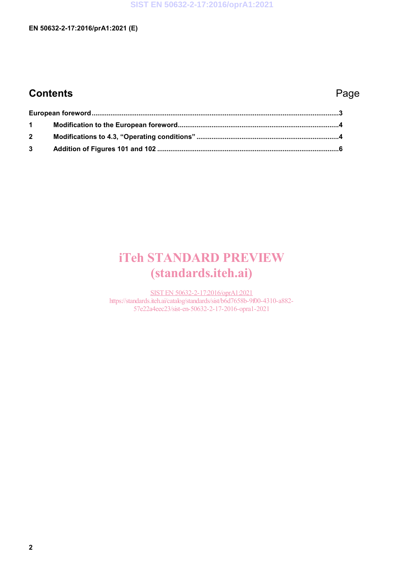# **Contents** Page

| $1 \quad$   |  |  |
|-------------|--|--|
| $2^{\circ}$ |  |  |
|             |  |  |

# iTeh STANDARD PREVIEW (standards.iteh.ai)

SIST EN 50632-2-17:2016/oprA1:2021 https://standards.iteh.ai/catalog/standards/sist/b6d7658b-9f00-4310-a882- 57e22a4eec23/sist-en-50632-2-17-2016-opra1-2021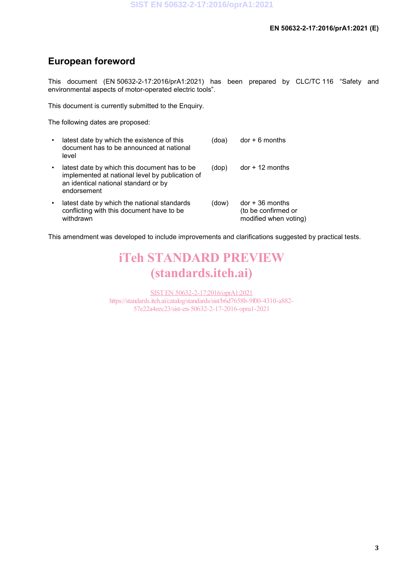## **European foreword**

This document (EN 50632-2-17:2016/prA1:2021) has been prepared by CLC/TC 116 "Safety and environmental aspects of motor-operated electric tools".

This document is currently submitted to the Enquiry.

The following dates are proposed:

| $\bullet$ | latest date by which the existence of this<br>document has to be announced at national<br>level                                                        | (doa) | $dor + 6$ months                                                  |
|-----------|--------------------------------------------------------------------------------------------------------------------------------------------------------|-------|-------------------------------------------------------------------|
| $\bullet$ | latest date by which this document has to be<br>implemented at national level by publication of<br>an identical national standard or by<br>endorsement | (dop) | $dor + 12$ months                                                 |
| $\bullet$ | latest date by which the national standards<br>conflicting with this document have to be<br>withdrawn                                                  | (dow) | $dor + 36$ months<br>(to be confirmed or<br>modified when voting) |

This amendment was developed to include improvements and clarifications suggested by practical tests.

# iTeh STANDARD PREVIEW (standards.iteh.ai)

SIST EN 50632-2-17:2016/oprA1:2021 https://standards.iteh.ai/catalog/standards/sist/b6d7658b-9f00-4310-a882- 57e22a4eec23/sist-en-50632-2-17-2016-opra1-2021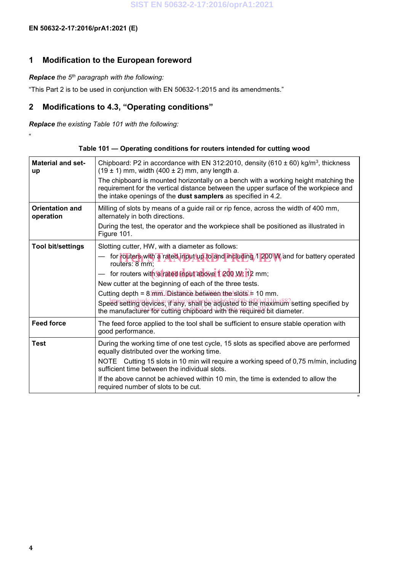"

### **1 Modification to the European foreword**

### *Replace the 5th paragraph with the following:*

"This Part 2 is to be used in conjunction with EN 50632-1:2015 and its amendments."

### **2 Modifications to 4.3, "Operating conditions"**

*Replace the existing Table 101 with the following:*

|  |  | Table 101 – Operating conditions for routers intended for cutting wood |
|--|--|------------------------------------------------------------------------|
|--|--|------------------------------------------------------------------------|

| <b>Material and set-</b><br><b>up</b> | Chipboard: P2 in accordance with EN 312:2010, density (610 $\pm$ 60) kg/m <sup>3</sup> , thickness<br>$(19 \pm 1)$ mm, width $(400 \pm 2)$ mm, any length a.<br>The chipboard is mounted horizontally on a bench with a working height matching the<br>requirement for the vertical distance between the upper surface of the workpiece and<br>the intake openings of the dust samplers as specified in 4.2. |
|---------------------------------------|--------------------------------------------------------------------------------------------------------------------------------------------------------------------------------------------------------------------------------------------------------------------------------------------------------------------------------------------------------------------------------------------------------------|
| <b>Orientation and</b><br>operation   | Milling of slots by means of a guide rail or rip fence, across the width of 400 mm,<br>alternately in both directions.<br>During the test, the operator and the workpiece shall be positioned as illustrated in<br>Figure 101.                                                                                                                                                                               |
| <b>Tool bit/settings</b>              | Slotting cutter, HW, with a diameter as follows:<br>for routers with a rated input up to and including 1 200 W and for battery operated                                                                                                                                                                                                                                                                      |
|                                       | routers: 8 mm.                                                                                                                                                                                                                                                                                                                                                                                               |
|                                       | - for routers with a rated (nout above 1 200 W; 12 mm;                                                                                                                                                                                                                                                                                                                                                       |
|                                       | New cutter at the beginning of each of the three tests.                                                                                                                                                                                                                                                                                                                                                      |
|                                       | Cutting depth = $8 \overline{\text{mm}}$ . Distance between/the slots = 10 mm.                                                                                                                                                                                                                                                                                                                               |
|                                       | Speed setting devices, if any, shall be adjusted to the maximum setting specified by<br>the manufacturer for eutting chipboard with the required bit diameter.                                                                                                                                                                                                                                               |
| <b>Feed force</b>                     | The feed force applied to the tool shall be sufficient to ensure stable operation with<br>good performance.                                                                                                                                                                                                                                                                                                  |
| <b>Test</b>                           | During the working time of one test cycle, 15 slots as specified above are performed<br>equally distributed over the working time.                                                                                                                                                                                                                                                                           |
|                                       | NOTE Cutting 15 slots in 10 min will require a working speed of 0,75 m/min, including<br>sufficient time between the individual slots.                                                                                                                                                                                                                                                                       |
|                                       | If the above cannot be achieved within 10 min, the time is extended to allow the<br>required number of slots to be cut.                                                                                                                                                                                                                                                                                      |
|                                       |                                                                                                                                                                                                                                                                                                                                                                                                              |